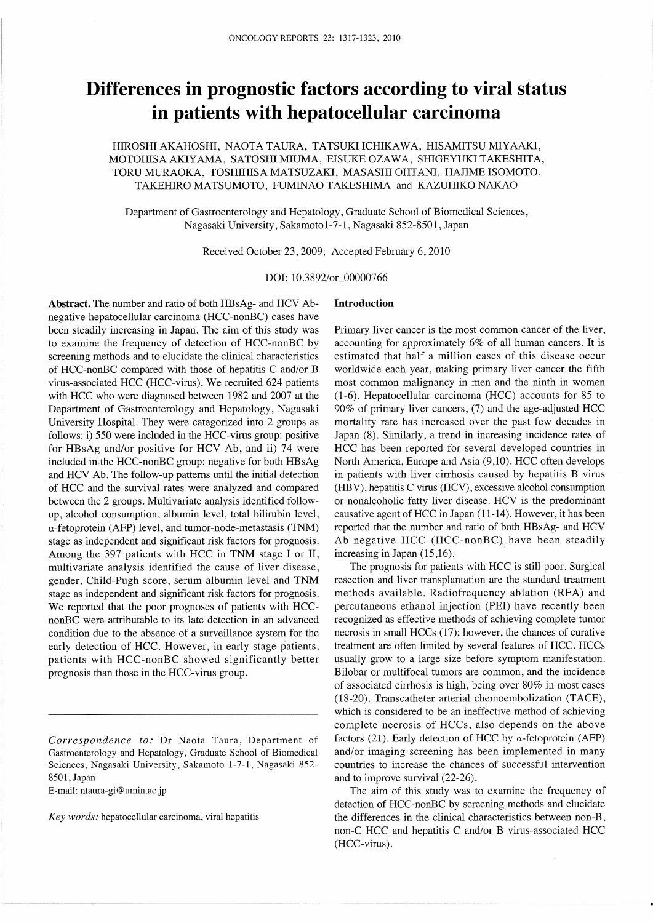# Differences in prognostic factors according to viral status in patients with hepatocellular carcinoma

HIROSHI AKAHOSHI, NAOTA TAURA, TATSUKI ICHIKAWA, HISAMITSU MIYAAKI, MOTOHISA AKIYAMA, SATOSHI MIUMA, EISUKE OZAWA, SHIGEYUKI TAKESHITA, TORU MURAOKA, TOSHIHISA MATSUZAKI, MASASHI OHTANI, HAJIME ISOMOTO, TAKEHIRO MATSUMOTO, FUMINAO TAKESHIMA and KAZUHIKO NAKAO

Department of Gastroenterology and Hepatology, Graduate Schoo1 of Biomedica1 Sciences, Nagasaki University, Sakamoto 1-7-1, Nagasaki 852-8501, Japan

Received October 23, 2009; Accepted February 6, 2010

DOI:10.3892/or OOOOO766

Introduction

Abstract. The number and ratio of both HBsAg- and HCV Abnegative hepatocellular carcinoma (HCC-nonBC) cases have been steadily increasing in Japan. The aim of this study was to examine the frequency of detection of HCC-nonBC by screening methods and to elucidate the clinical characteristics of HCC-nonBC compared with those of hepatitis C and/or B virus-associated HCC (HCC-virus). We recruited 624 patients with HCC who were diagnosed between 1982 and 2007 at the Department of Gastroenterology and Hepatology, Nagasaki University HospitaL They were categorized into 2 groups as follows:  $i$ ) 550 were included in the HCC-virus group: positive for HBsAg and/or positive for HCV Ab, and ii) 74 were included in the HCC-nonBC group: negative for both  $HBSAg$ and HCV Ab. The follow-up patterns until the initial detection of HCC and the survival rates were analyzed and compared between the 2 groups. Multivariate analysis identified follow up, alcohol consumption, albumin leve1, total bilirubin level, α-fetoprotein (AFP) level, and tumor-node-metastasis (TNM) stage as independent and significant risk factors for prognosis. Among the 397 patients with HCC in TNM stage I or II, multivariate analysis identified the cause of liver disease, gender, Child-Pugh score, serum albumin level and TNM stage as independent and significant risk factors for prognosis. We reported that the poor prognoses of patients with HCC nonBC were attributable to its late detection in an advanced condition due to the absence of a surveillance system for the early detection of HCC. However, in early-stage patients, patients with HCC-nonBC showed significantly better prognosis than those in the HCC-virus group.

E-mail: ntaura-gi@umin.ac.jp

Key words: hepatocellular carcinoma, viral hepatitis

Primary liver cancer is the most common cancer of the liver, accounting for approximately  $6\%$  of all human cancers. It is estimated that half a million cases of this disease occur worldwide each year, making primary liver cancer the fifth most common malignancy in men and the ninth in women (1-6). Hepatocellular carcinoma (HCC) accounts for 85 to  $90\%$  of primary liver cancers, (7) and the age-adjusted HCC mortality rate has increased over the past few decades in Japan(8). Similarly, a trend in increasing incidence rates of HCC has been reported for several developed countries in North America, Europe and Asia (9,10). HCC often develops in patients with liver cirrhosis caused by hepatitis B virus (HBV), hepatitis C virus (HCV), excessive alcohol consumption or nonalcoholic fatty Iiver disease. HCV is the predominant causative agent of HCC in Japan(11-14).However, it has been reported that the number and ratio of both HBsAg- and HCV Ab-negative HCC (HCC-nonBC), have been steadily increasing in Japan (15,16).

 The prognosis for patients with'HCC is still poor. Surgical resection and liver transplantation are the standard treatment methods available. Radiofrequency ablation (RFA) and percutaneous ethanol injection (PEI) have recently been recognized as effective methods of achieving complete tumor necrosis in small HCCs (17); however, the chances of curative treatment are often limited by several features of HCC. HCCs usually grow to a large size before symptom manifestation. Bilobar or multifocal tumors are common, and the incidence of associated cirrhosis is high, being over 80% in most cases (18-20).Transcatheter arterial chemoembolization(TACE), which is considered to be an ineffective method of achieving complete necrosis of HCCs, also depends on the above factors (21). Early detection of HCC by  $\alpha$ -fetoprotein (AFP) and/or imaging screening has been implemented in many countries to increase the chances of successful intervention and to improve survival (22-26).

 The aim of this study was to examine the frequency of detection of HCC-nonBC by screening methods and elucidate the differences in the clinical characteristics between non-B, non-C HCC and hepatitis C and/or B virus-associated HCC (HCC-virus).

Correspondence to: Dr Naota Taura, Department of Gastroenterology and Hepatology, Graduate School of Biomedical Sciences, Nagasaki University, Sakamoto 1-7-1, Nagasaki 852-8501,Japan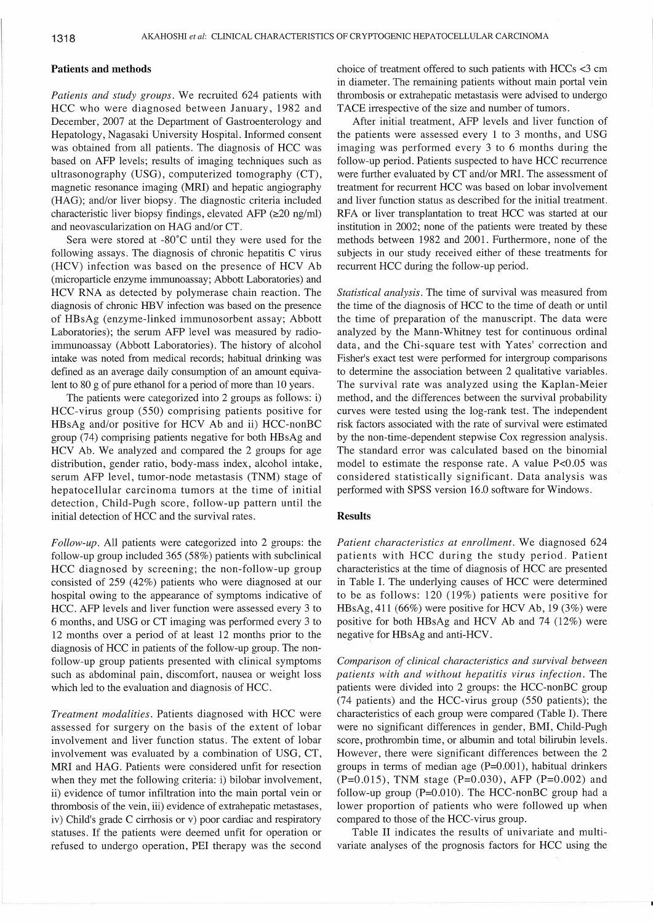## Patients and methods

Patients and study groups. We recruited 624 patients with HCC who were diagnosed between January, 1982 and December, 2007 at the Department of Gastroenterology and Hepatology, Nagasaki University Hospital. lnformed consent was obtained from all patients. The diagnosis of HCC was based on AFP levels; results of imaging techniques such as ultrasonography (USG), computerized tomography (CT), magnetic resonance imaging (MRI) and hepatic angiography (HAG); and/or liver biopsy. The diagnostic criteria included characteristic liver biopsy findings, elevated AFP $(\geq 20 \text{ ng/ml})$ and neovascularization on HAG and/or CT.

Sera were stored at -80℃ until they were used for the following assays. The diagnosis of chronic hepatitis C virus (HCV) infection was based on the presence of HCV Ab (microparticle enzyme immunoassay; Abbott Laboratories) and HCV RNA as detected by polymerase chain reaction. The diagnosis of chronic HBV infection was based on the presence of HBsAg(enzyme-linked immunosorbent assay;Abbott Laboratories); the serum AFP level was measured by radioimmunoassay(Abbott Laboratories). The history of alcohol intake was noted from medical records; habitual drinking was defined as an average daily consumption of an amount equiva lent to 80 g of pure ethanol for a period of more than 10 years.

The patients were categorized into 2 groups as follows: i) HCC-virus group (550) comprising patients positive for HBsAg and/or positive for HCV Ab and ii) HCC-nonBC group (74) comprising patients negative for both HBsAg and HCV Ab. We analyzed and compared the 2 groups for age distribution, gender ratio, body-mass index, alcohol intake, serum AFP level, tumor-node metastasis (TNM) stage of hepatocellular carcinoma tumors at the time of initial detection, Child-Pugh score, follow-up pattern until the initial detection of HCC and the survival rates.

 $Follow-up$ . All patients were categorized into 2 groups: the follow-up group included  $365(58%)$  patients with subclinical HCC diagnosed by screening; the non-follow-up group consisted of  $259(42%)$  patients who were diagnosed at our hospital owing to the appearance of symptoms indicative of HCC. AFP levels and liver function were assessed every 3 to 6months,and USG or CT imaging was performed every 3 to 12months over a period of at least 12 months prior to the diagnosis of HCC in patients of the follow-up group. The non follow-up group patients presented with clinical symptoms such as abdominal pain, discomfort, nausea or weight loss which led to the evaluation and diagnosis of HCC.

Treatment modalities. Patients diagnosed with HCC were assessed for surgery on the basis of the extent of lobar involvement and iiver function status. The extent of lobar involvement was evaluated by a combination of USG, CT, MRI and HAG. Patients were considered unfit for resection when they met the following criteria: i) bilobar involvement, ii) evidence of tumor infiltration into the main portal vein or thrombosis of the vein, iii) evidence of extrahepatic metastases, iv) Child's grade C cirrhosis or v) poor cardiac and respiratory statuses. If the patients were deemed unfit for operation or refused to undergo operation, PEI therapy was the second choice of treatment offered to such patients with HCCs<3 cm in diameter. The remaining patients without main portal vein thrombosis or extrahepatic metastasis were advised to undergo TACE irrespective of the size and number of tumors.

After initial treatment, AFP levels and liver function of the patients were assessed every l to 3 months, and USG imaging was performed every 3 to 6 months during the follow-up period. Patients suspected to have HCC recurrence were further evaluated by CT and/or MRI. The assessment of treatment for recurrent HCC was based on lobar involvement and liver function status as described for the initial treatment. RFA or liver transplantation to treat HCC was started at our institution in  $2002$ ; none of the patients were treated by these methods between 1982 and 2001.Furthermore, none of the subjects in our study received either of these treatments for recurrent HCC during the follow-up period.

Statistical analysis. The time of survival was measured from the time of the diagnosis of HCC to the time of death or until the time of preparation of the manuscript. The data were analyzed by the Mann-Whitney test for continuous ordinal data, and the Chi-square test with Yates' correction and Fisher's exact test were performed for intergroup comparisons to determine the association between 2 qualitative variables. The survival rate was analyzed using the Kaplan-Meier method, and the differences between the survival probability curves were tested using the log-rank test. The independent risk factors associated with the rate of survival were estimated by the non-time-dependent stepwise Cox regression analysis. The standard error was calculated based on the binomiaI model to estimate the response rate. A value P<0.05 was considered statistically significant. Data analysis was performed with SPSS version 16.O software for Windows.

## Results

Patient characteristics at enrollment. We diagnosed 624 patients with HCC during the study period. Patient characteristics at the time of diagnosis of HCC are presented in Table I. The underlying causes of HCC were determined to be as follows: 120 (19%) patients were positive for HBsAg, 411 (66%) were positive for HCV Ab, 19 $(3%)$  were positive for both HBsAg and HCV Ab and  $74$  (12%) were negative for HBsAg and anti-HCV.

Comparison of clinical characteristics and survival between patients with and without hepatitis virus infection. The patients were divided into 2 groups: the HCC-nonBC group (74 patients) and the HCC-virus group (550 patients); the characteristics of each group were compared(Table I). There were no significant differences in gender, BMI, Child-Pugh score, prothrombin time, or albumin and total bilirubin levels. However, there were significant differences between the 2 groups in terms of median age  $(P=0.001)$ , habitual drinkers  $(P=0.015)$ , TNM stage  $(P=0.030)$ , AFP  $(P=0.002)$  and follow-up group ( $P=0.010$ ). The HCC-nonBC group had a lower proportion of patients who were followed up when compared to those of the HCC-virus group.

 Table II indicates the results of univariate and multi variate analyses of the prognosis factors for HCC using the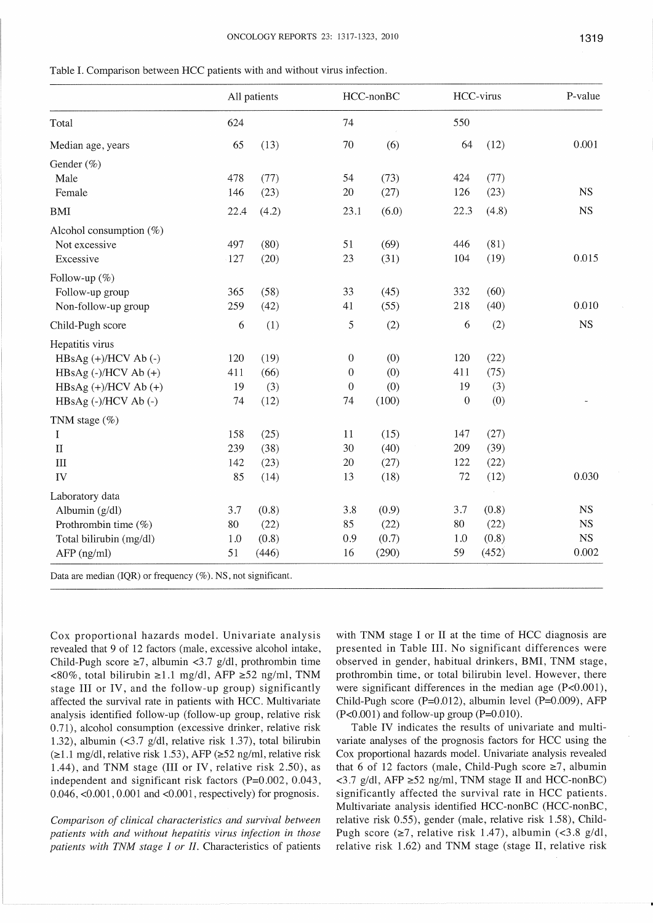|                                                                  | All patients |       | HCC-nonBC        |       | HCC-virus   |       | P-value     |
|------------------------------------------------------------------|--------------|-------|------------------|-------|-------------|-------|-------------|
| Total                                                            | 624          |       | 74               |       | 550         |       |             |
| Median age, years                                                | 65           | (13)  | 70               | (6)   | 64          | (12)  | 0.001       |
| Gender (%)                                                       |              |       |                  |       |             |       |             |
| Male                                                             | 478          | (77)  | 54               | (73)  | 424         | (77)  |             |
| Female                                                           | 146          | (23)  | $20\,$           | (27)  | 126         | (23)  | <b>NS</b>   |
| <b>BMI</b>                                                       | 22.4         | (4.2) | 23.1             | (6.0) | 22.3        | (4.8) | <b>NS</b>   |
| Alcohol consumption $(\%)$                                       |              |       |                  |       |             |       |             |
| Not excessive                                                    | 497          | (80)  | 51               | (69)  | 446         | (81)  |             |
| Excessive                                                        | $-127$       | (20)  | 23               | (31)  | 104         | (19)  | 0.015       |
| Follow-up (%)                                                    |              |       |                  |       |             |       |             |
| Follow-up group                                                  | 365          | (58)  | 33               | (45)  | 332         | (60)  |             |
| Non-follow-up group                                              | 259          | (42)  | 41               | (55)  | 218         | (40)  | 0.010       |
| Child-Pugh score                                                 | 6            | (1)   | $\mathfrak{S}$   | (2)   | 6           | (2)   | <b>NS</b>   |
| Hepatitis virus                                                  |              |       |                  |       |             |       |             |
| HBsAg (+)/HCV Ab (-)                                             | 120          | (19)  | $\boldsymbol{0}$ | (0)   | 120         | (22)  |             |
| $HBsAg$ (-)/HCV Ab (+)                                           | 411          | (66)  | $\mathbf{0}$     | (0)   | 411         | (75)  |             |
| $HBsAg (+)/HCV Ab (+)$                                           | 19           | (3)   | $\theta$         | (0)   | 19          | (3)   |             |
| HBsAg (-)/HCV Ab (-)                                             | 74           | (12)  | 74               | (100) | $\mathbf 0$ | (0)   |             |
| TNM stage (%)                                                    |              |       |                  |       |             |       |             |
| I                                                                | 158          | (25)  | 11               | (15)  | 147         | (27)  |             |
| $\rm II$                                                         | 239          | (38)  | 30               | (40)  | 209         | (39)  |             |
| $\mathop{\rm III}$                                               | 142          | (23)  | $20\,$           | (27)  | 122         | (22)  |             |
| IV                                                               | 85           | (14)  | 13               | (18)  | $72\,$      | (12)  | 0.030       |
| Laboratory data                                                  |              |       |                  |       |             |       |             |
| Albumin (g/dl)                                                   | 3.7          | (0.8) | 3.8              | (0.9) | 3.7         | (0.8) | NS          |
| Prothrombin time (%)                                             | 80           | (22)  | 85               | (22)  | $80\,$      | (22)  | $_{\rm NS}$ |
| Total bilirubin (mg/dl)                                          | 1.0          | (0.8) | 0.9              | (0.7) | 1.0         | (0.8) | <b>NS</b>   |
| $AFP$ (ng/ml)                                                    | 51           | (446) | 16               | (290) | 59          | (452) | 0.002       |
| Data are median (IQR) or frequency $(\%)$ . NS, not significant. |              |       |                  |       |             |       |             |

Table I. Comparison between HCC patients with and without virus infection.

Cox proportional hazards model. Univariate analysis revealed that 9 of 12 factors (male, excessive alcohol intake, Child-Pugh score  $\geq 7$ , albumin <3.7 g/dl, prothrombin time <80%, total bilirubin ≥1.1 mg/dl, AFP ≥52 ng/ml, TNM stage III or IV, and the follow-up group) significantly affected the survival rate in patients with HCC. Multivariate analysis identified follow-up (follow-up group, relative risk 0.71), alcohol consumption (excessive drinker, relative risk 1.32), albumin  $(\leq 3.7 \text{ g/dl})$ , relative risk 1.37), total bilirubin  $(\geq 1.1 \text{ mg/dl}, \text{relative risk } 1.53), \text{AFP } (\geq 52 \text{ ng/ml}, \text{relative risk}$ 1.44), and TNM stage (III or IV, relative risk 2.50), as independent and significant risk factors (P=0.002, 0.043,  $0.046$ , < $0.001$ ,  $0.001$  and < $0.001$ , respectively) for prognosis.

Comparison of clinical characteristics and survival between patients with and without hepatitis virus infection in those patients with TNM stage I or II. Characteristics of patients with TNM stage I or II at the time of HCC diagnosis are presented in Table III. No significant differences were observed in gender, habitual drinkers, BMI, TNM stage, prothrombin time, or total bilirubin level. However, there were significant differences in the median age  $(P<0.001)$ , Child-Pugh score (P=0.012), albumin level (P=0.009), AFP  $(P<0.001)$  and follow-up group  $(P=0.010)$ .

Table IV indicates the results of univariate and multivariate analyses of the prognosis factors for HCC using the Cox proportional hazards model. Univariate analysis revealed that 6 of 12 factors (male, Child-Pugh score  $\geq 7$ , albumin <3.7 g/dl, AFP ≥52 ng/ml, TNM stage II and HCC-nonBC) significantly affected the survival rate in HCC patients. Multivariate analysis identified HCC-nonBC (HCC-nonBC, relative risk 0.55), gender (male, relative risk 1.58), Child-Pugh score ( $\geq$ 7, relative risk 1.47), albumin (<3.8 g/dl, relative risk 1.62) and TNM stage (stage II, relative risk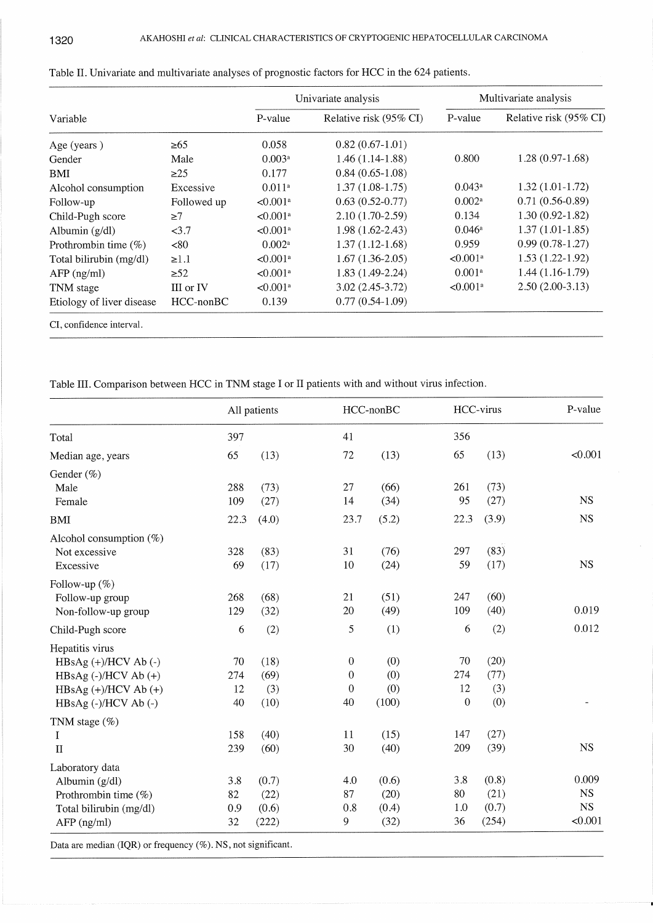|                           |                 |                        | Univariate analysis    | Multivariate analysis  |                        |  |
|---------------------------|-----------------|------------------------|------------------------|------------------------|------------------------|--|
| Variable                  |                 | P-value                | Relative risk (95% CI) | P-value                | Relative risk (95% CI) |  |
| Age (years)               | $\geq 65$       | 0.058                  | $0.82(0.67-1.01)$      |                        |                        |  |
| Gender                    | Male            | 0.003a                 | $1.46(1.14-1.88)$      | 0.800                  | $1.28(0.97-1.68)$      |  |
| BMI                       | $\geq$ 25       | 0.177                  | $0.84(0.65-1.08)$      |                        |                        |  |
| Alcohol consumption       | Excessive       | 0.011 <sup>a</sup>     | $1.37(1.08-1.75)$      | $0.043^{\rm a}$        | $1.32(1.01-1.72)$      |  |
| Follow-up                 | Followed up     | $< 0.001$ <sup>a</sup> | $0.63(0.52-0.77)$      | $0.002$ <sup>a</sup>   | $0.71(0.56-0.89)$      |  |
| Child-Pugh score          | $\geq 7$        | $< 0.001$ <sup>a</sup> | $2.10(1.70-2.59)$      | 0.134                  | $1.30(0.92 - 1.82)$    |  |
| Albumin $(g/dl)$          | <3.7            | $< 0.001$ <sup>a</sup> | 1.98 (1.62-2.43)       | $0.046^{\circ}$        | $1.37(1.01-1.85)$      |  |
| Prothrombin time $(\%)$   | < 80            | $0.002^a$              | $1.37(1.12-1.68)$      | 0.959                  | $0.99(0.78-1.27)$      |  |
| Total bilirubin (mg/dl)   | $\geq 1.1$      | $< 0.001$ <sup>a</sup> | $1.67(1.36-2.05)$      | $< 0.001$ <sup>a</sup> | $1.53(1.22-1.92)$      |  |
| $AFP$ (ng/ml)             | $\geq 52$       | $< 0.001$ <sup>a</sup> | $1.83(1.49-2.24)$      | 0.001 <sup>a</sup>     | $1.44(1.16-1.79)$      |  |
| TNM stage                 | III or IV       | $< 0.001$ <sup>a</sup> | $3.02(2.45-3.72)$      | $< 0.001$ <sup>a</sup> | $2.50(2.00-3.13)$      |  |
| Etiology of liver disease | $HCC$ -non $BC$ | 0.139                  | $0.77(0.54-1.09)$      |                        |                        |  |
| CI, confidence interval.  |                 |                        |                        |                        |                        |  |

Table II.Univariate and multivariate analyses of prognostic factors for HCC in the 624 patients.

Table III. Comparison between HCC in TNM stage 1 or II patients with and without virus infection.

|                                                              |      | All patients |                  | HCC-nonBC |                  | HCC-virus | P-value     |
|--------------------------------------------------------------|------|--------------|------------------|-----------|------------------|-----------|-------------|
| Total                                                        | 397  |              | 41               |           | 356              |           |             |
| Median age, years                                            | 65   | (13)         | 72               | (13)      | 65               | (13)      | < 0.001     |
| Gender (%)                                                   |      |              |                  |           |                  |           |             |
| Male                                                         | 288  | (73)         | 27               | (66)      | 261              | (73)      |             |
| Female                                                       | 109  | (27)         | 14               | (34)      | 95               | (27)      | <b>NS</b>   |
| BMI                                                          | 22.3 | (4.0)        | 23.7             | (5.2)     | 22.3             | (3.9)     | <b>NS</b>   |
| Alcohol consumption $(\%)$                                   |      |              |                  |           |                  |           |             |
| Not excessive                                                | 328  | (83)         | 31               | (76)      | 297              | (83)      |             |
| Excessive                                                    | 69   | (17)         | 10               | (24)      | 59               | (17)      | <b>NS</b>   |
| Follow-up $(\%)$                                             |      |              |                  |           |                  |           |             |
| Follow-up group                                              | 268  | (68)         | 21               | (51)      | 247              | (60)      |             |
| Non-follow-up group                                          | 129  | (32)         | 20               | (49)      | 109              | (40)      | 0.019       |
| Child-Pugh score                                             | 6    | (2)          | 5                | (1)       | 6                | (2)       | 0.012       |
| Hepatitis virus                                              |      |              |                  |           |                  |           |             |
| $HBsAg (+)/HCV Ab (-)$                                       | 70   | (18)         | $\boldsymbol{0}$ | (0)       | 70               | (20)      |             |
| HBsAg (-)/HCV Ab (+)                                         | 274  | (69)         | $\boldsymbol{0}$ | (0)       | 274              | (77)      |             |
| $HBsAg (+)/HCV Ab (+)$                                       | 12   | (3)          | $\mathbf 0$      | (0)       | 12               | (3)       |             |
| HBsAg (-)/HCV Ab (-)                                         | 40   | (10)         | 40               | (100)     | $\boldsymbol{0}$ | (0)       |             |
| TNM stage (%)                                                |      |              |                  |           |                  |           |             |
| I                                                            | 158  | (40)         | 11               | (15)      | 147              | (27)      |             |
| $\mathbf{I}$                                                 | 239  | (60)         | 30               | (40)      | 209              | (39)      | <b>NS</b>   |
| Laboratory data                                              |      |              |                  |           |                  |           |             |
| Albumin $(g/dl)$                                             | 3.8  | (0.7)        | 4.0              | (0.6)     | 3.8              | (0.8)     | 0.009       |
| Prothrombin time (%)                                         | 82   | (22)         | 87               | (20)      | 80               | (21)      | NS          |
| Total bilirubin (mg/dl)                                      | 0.9  | (0.6)        | 0.8              | (0.4)     | 1.0              | (0.7)     | $_{\rm NS}$ |
| $AFP$ (ng/ml)                                                | 32   | (222)        | 9                | (32)      | 36               | (254)     | < 0.001     |
| Data are median (IQR) or frequency (%). NS, not significant. |      |              |                  |           |                  |           |             |
|                                                              |      |              |                  |           |                  |           |             |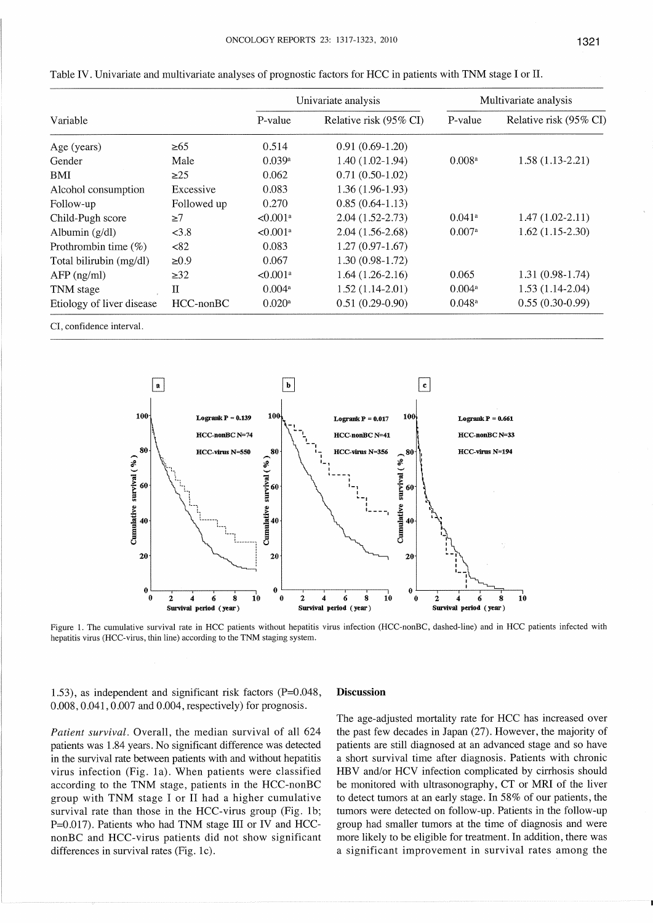|                           |                 |                        | Univariate analysis    | Multivariate analysis |                        |  |
|---------------------------|-----------------|------------------------|------------------------|-----------------------|------------------------|--|
| Variable                  |                 | P-value                | Relative risk (95% CI) | P-value               | Relative risk (95% CI) |  |
| Age (years)               | $\geq 65$       | 0.514                  | $0.91(0.69-1.20)$      |                       |                        |  |
| Gender                    | Male            | 0.039a                 | $1.40(1.02-1.94)$      | 0.008 <sup>a</sup>    | $1.58(1.13-2.21)$      |  |
| BMI                       | $\geq$ 25       | 0.062                  | $0.71(0.50-1.02)$      |                       |                        |  |
| Alcohol consumption       | Excessive       | 0.083                  | $1.36(1.96-1.93)$      |                       |                        |  |
| Follow-up                 | Followed up     | 0.270                  | $0.85(0.64-1.13)$      |                       |                        |  |
| Child-Pugh score          | $\geq$ 7        | $< 0.001$ <sup>a</sup> | $2.04(1.52 - 2.73)$    | $0.041$ <sup>a</sup>  | $1.47(1.02 - 2.11)$    |  |
| Albumin $(g/dl)$          | < 3.8           | $< 0.001$ <sup>a</sup> | $2.04(1.56-2.68)$      | $0.007$ <sup>a</sup>  | $1.62(1.15-2.30)$      |  |
| Prothrombin time $(\%)$   | <82             | 0.083                  | $1.27(0.97-1.67)$      |                       |                        |  |
| Total bilirubin (mg/dl)   | $\geq 0.9$      | 0.067                  | $1.30(0.98-1.72)$      |                       |                        |  |
| $AFP$ (ng/ml)             | $\geq$ 32       | $< 0.001$ <sup>a</sup> | $1.64(1.26-2.16)$      | 0.065                 | $1.31(0.98-1.74)$      |  |
| TNM stage                 | Π               | $0.004$ <sup>a</sup>   | $1.52(1.14-2.01)$      | $0.004$ <sup>a</sup>  | $1.53(1.14-2.04)$      |  |
| Etiology of liver disease | $HCC$ -non $BC$ | $0.020$ <sup>a</sup>   | $0.51(0.29-0.90)$      | $0.048$ <sup>a</sup>  | $0.55(0.30-0.99)$      |  |

| Table IV. Univariate and multivariate analyses of prognostic factors for HCC in patients with TNM stage I or Il |  |  |
|-----------------------------------------------------------------------------------------------------------------|--|--|
|                                                                                                                 |  |  |

CI, confidence interval.



Figure 1. The cumulative survival rate in HCC patients without hepatitis virus infection (HCC-nonBC, dashed-line) and in HCC patients infected with hepatitis virus (HCC-virus, thin line) according to the TNM staging system.

1.53), as independent and significant risk factors  $(P=0.048,$ 0.008, 0.041, 0.007 and 0.004, respectively) for prognosis.

# Patient survival. Overall, the median survival of all 624 patients was 1.84 years. No significant difference was detected in the survival rate between patients with and without hepatitis virus infection (Fig. 1a). When patients were classified according to the TNM stage, patients in the HCC-nonBC group with TNM stage I or II had a higher cumulative survival rate than those in the HCC-virus group (Fig. 1b; P=0.017). Patients who had TNM stage III or IV and HCCnonBC and HCC-virus patients did not show significant differences in survival rates (Fig. 1c).

#### **Discussion**

The age-adjusted mortality rate for HCC has increased over the past few decades in Japan (27). However, the majority of patients are still diagnosed at an advanced stage and so have a short survival time after diagnosis. Patients with chronic HBV and/or HCV infection complicated by cirrhosis should be monitored with ultrasonography, CT or MRI of the liver to detect tumors at an early stage. In 58% of our patients, the tumors were detected on follow-up. Patients in the follow-up group had smaller tumors at the time of diagnosis and were more likely to be eligible for treatment. In addition, there was a significant improvement in survival rates among the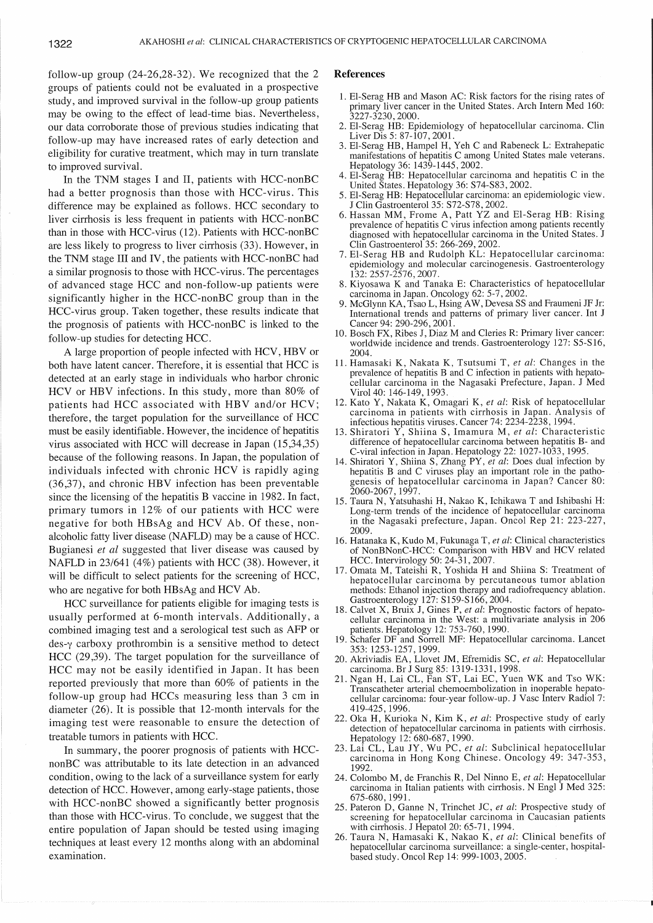follow-up group  $(24-26,28-32)$ . We recognized that the 2 groups of patients could not be evaluated in a prospective study, and improved survival in the follow-up group patients may be owing to the effect of lead-time bias. Nevertheless, our data corroborate those of previous studies indicating that follow--up may have increased rates of early detection and eligibility for curative treatment, which may in turn translate to improved surviva1.

In the TNM stages I and II, patients with HCC-nonBC had a better prognosis than those with HCC-virus. This difference may be explained as follows. HCC secondary to liver cirrhosis is less frequent in patients with HCC-nonBC than in those with HCC-virus (12). Patients with HCC-nonBC are less likely to progress to liver cirrhosis(33).However, in the TNM stage III and IV, the patients with  $HCC$ -non $BC$  had a similar prognosis to those with HCC-virus.The percentages of advanced stage HCC and non-follow-up patients were significantly higher in the HCC-nonBC group than in the HCC-virus group. Taken together, these results indicate that the prognosis of patients with HCC-nonBC is linked to the follow-up studies for detecting HCC.

A large proportion of people infected with HCV, HBV or both have latent cancer. Therefore, it is essential that HCC is detected at an early stage in individuals who harbor chronic HCV or HBV infections. In this study, more than 80% of patients had HCC associated with HBV and/or HCV; therefore, the target population for the surveillance of HCC must be easily identifiable. However, the incidence of hepatitis virus associated with HCC will decrease in Japan(15,34,35) because of the following reasons.In Japan, the population of individuals infected with chronic HCV is rapidly aging  $(36,37)$ , and chronic HBV infection has been preventable since the licensing of the hepatitis B vaccine in 1982. ln fact, primary tumors in 12% of our patients with HCC were negative for both HBsAg and HCV Ab. Of these, non alcoholic fatty liver disease (NAFLD) may be a cause of HCC. Bugianesi et al suggested that liver disease was caused by NAFLD in  $23/641$  (4%) patients with HCC (38). However, it will be difficult to select patients for the screening of HCC, who are negative for both HBsAg and HCV Ab.

HCC surveillance for patients eligible for imaging tests is usually performed at 6-month intervals. Additionally, a combined imaging test and a serological test such as AFP or  $des_{\gamma}$  carboxy prothrombin is a sensitive method to detect HCC  $(29,39)$ . The target population for the surveillance of HCC may not be easily identified in Japan. It has been reported previously that more than 60% of patients in the follow-up group had HCCs measuring less than 3 cm in diameter (26). It is possible that 12-month intervals for the imaging test were reasonable to ensure the detection of treatable tumors in patients with HCC.

 In summary, the poorer prognosis of patients with HCC nonBC was attributable to its late detection in an advanced condition,owing to the lack of a surveillance system for early detection of HCC. However, among early-stage patients, those with HCC-nonBC showed a significantly better prognosis than those with HCC-virus. To conclude, we suggest that the entire population of Japan should be tested using imaging techniques at least every 12 months along with an abdominal examination.

### References

- 1.El-Serag HB and Mason AC:Risk factors for the rising rates of primary liver cancer in the United States. Arch Intern Med 160: 3227-3230,2000.
- 2. El-Serag HB: Epidemiology of hepatocellular carcinoma. Clin Liver Dis 5:87-107,2001.
- 3. El-Serag HB, Hampel H, Yeh C and Rabeneck L: Extrahepatic manifestations of hepatitis C among United States male veterans. Hepatology 36:1439-1445,2002.
- 4. El-Serag HB: Hepatocellular carcinoma and hepatitis C in the United States. Hepatology 36: S74-S83, 2002.
- 5. El-Serag HB: Hepatocellular carcinoma: an epidemiologic view. Clin Gastroenterol 35: S72-S78, 2002.
- 6. Hassan MM, Frome A, Patt YZ and El-Serag HB: Rising prevalence of hepatitis  $C$  virus infection among patients recently diagnosed with hepatocellular carcinoma in the United States. J CIin Gastroenterol 35:266-269,2002.
- 7. El-Serag HB and Rudolph KL: Hepatocellular carcinoma: epidemiology and molecular carcinogenesis. Gastroenterology 132:2557-2576,2007.
- 8. Kiyosawa K and Tanaka E: Characteristics of hepatocellular carcinoma in Japan. Oncology 62: 5-7, 2002.
- 9. McGlynn KA, Tsao L, Hsing AW, Devesa SS and Fraumeni JF Jr: Intemational trends and pattems of primary liver cancer. Int J Cancer 94: 290-296, 2001.
- 10. Bosch FX, Ribes J, Diaz M and Cleries R: Primary liver cancer: worldwide incidence and trends. Gastroenterology 127: S5-S16, 2004.
- 11. Hamasaki K, Nakata K, Tsutsumi T, et al: Changes in the prevalence of hepatitis B and C infection in patients with hepato cellular carcinoma in the Nagasaki Prefecture, Japan. J Med Viro140:146-149,1993.
- 12. Kato Y, Nakata K, Omagari K, et al: Risk of hepatocellular carcinoma in patients with c輌rrhosis in Japan. Analysis of infectious hepatitis viruses.Cancer 74:2234-2238,1994.
- 13. Shiratori Y, Shiina S, Imamura M, et al: Characteristic difference of hepatocellular carcinoma between hepatitis B- and  $C$ -viral infection in Japan. Hepatology 22: 1027-1033, 1995.
- 14. Shiratori Y, Shiina S, Zhang PY, et al: Does dual infection by hepatitis B and C viruses play an important role in the pathogenesis of hepatocellular carcinoma in Japan? Cancer 80: 2060-2067,1997.
- 15.Taura N, Yatsuhashi H, Nakao K, Ichikawa T and Ishibashi H: Long-term trends of the incidence of hepatocellular carcinoma in the Nagasaki prefecture, Japan. Oncol Rep 21:223-227, 2009.
- 16. Hatanaka K, Kudo M, Fukunaga T, et al: Clinical characteristics of NonBNonC-HCC: Comparison with HBV and HCV related HCC.Intervirology 50:24-31,2007.
- 17. Omata M, Tateishi R, Yoshida H and Shiina S: Treatment of hepatocellular carcinoma by percutaneous tumor ablation methods:Ethanol injection therapy and radiofrequency ablation. Gastroenterology 127: S159-S166, 2004.
- 18. Calvet X, Bruix J, Gines P, et al: Prognostic factors of hepatocellular carcinoma in the West: a multivariate analysis in 20 patients. Hepatology 12: 753-760, 1990.
- 19. Schafer DF and Sorrell MF: Hepatocellular carcinoma. Lancet 353:1253-1257,1999.
- 20. Akriviadis EA, Llovet JM, Efremidis SC, *et al*: Hepatocellular carcinoma. Br J Surg 85:1319-1331,1998.
- 21.Ngan H, Lai CL, Fan ST, Lai EC, Yuen WK and Tso WK: Transcatheter arterial chemoembolization in inoperable hepato cellular carcinoma: four-year follow-up. J Vasc Interv Radiol 7: 419-425,1996.
- 22. Oka H, Kurioka N, Kim K, et al: Prospective study of early detection of hepatocellular carcinoma in patients with cirrhosis. Hepatology 12:680-687,1990.
- 23. Lai CL, Lau JY, Wu PC, et al: Subclinical hepatocellular carcinoma in Hong Kong Chinese. Oncology 49:347-353, 1992.
- 24. Colombo M, de Franchis R, Del Ninno E, et al: Hepatocellular carcinoma in Italian patients with cirrhosis. N Engl J Med 325: 675-680,1991.
- 25. Pateron D, Ganne N, Trinchet JC, et al: Prospective study of screening for hepatocellular carcinoma in Caucasian patients with cirrhosis. J Hepatol 20: 65-71, 1994.
- 26. Taura N, Hamasaki K, Nakao K, et al: Clinical benefits of hepatocellular carcinoma surveillance: a single-center, hospital-based study.Oncol Rep l4:999-1003,2005.